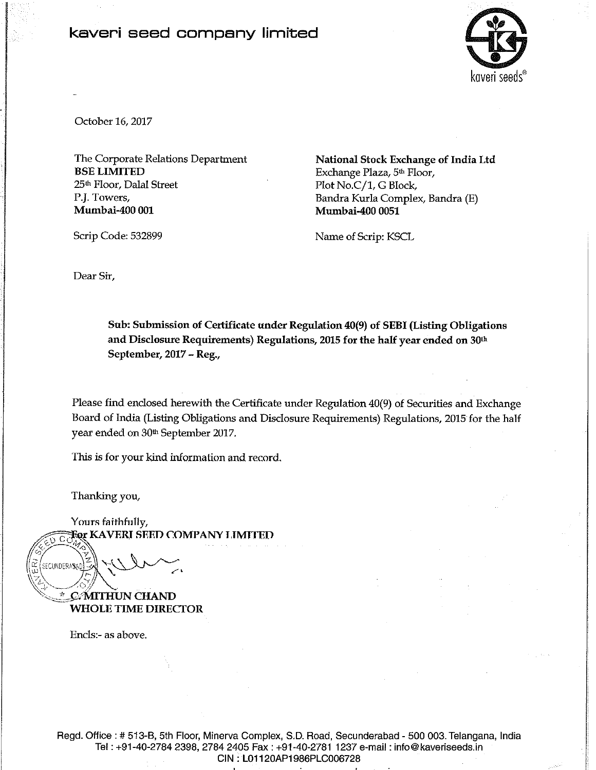## kaveri seed company limited



October 16, 2017

The Corporate Relations Department **BSE LIMITED** 25<sup>th</sup> Floor, Dalal Street P.J. Towers, Mumbai-400 001

National Stock Exchange of India Ltd Exchange Plaza, 5th Floor, Plot No.C/1, G Block, Bandra Kurla Complex, Bandra (E) **Mumbai-400 0051** 

Name of Scrip: KSCL

Scrip Code: 532899

Dear Sir,

Sub: Submission of Certificate under Regulation 40(9) of SEBI (Listing Obligations and Disclosure Requirements) Regulations, 2015 for the half year ended on 30<sup>th</sup> September, 2017 - Reg.,

Please find enclosed herewith the Certificate under Regulation 40(9) of Securities and Exchange Board of India (Listing Obligations and Disclosure Requirements) Regulations, 2015 for the half year ended on 30<sup>th</sup> September 2017.

This is for your kind information and record.

Thanking you,

Yours faithfully, For KAVERI SEED COMPANY LIMITED

SECUNDERASA

C. MITHUN CHAND **WHOLE TIME DIRECTOR** 

Encls:- as above.

Regd. Office : # 513-B, 5th Floor, Minerva Complex, S.D. Road, Secunderabad - 500 003. Telangana, India Tel: +91-40-2784 2398, 2784 2405 Fax: +91-40-2781 1237 e-mail: info@kaveriseeds.in CIN: L01120AP1986PLC006728